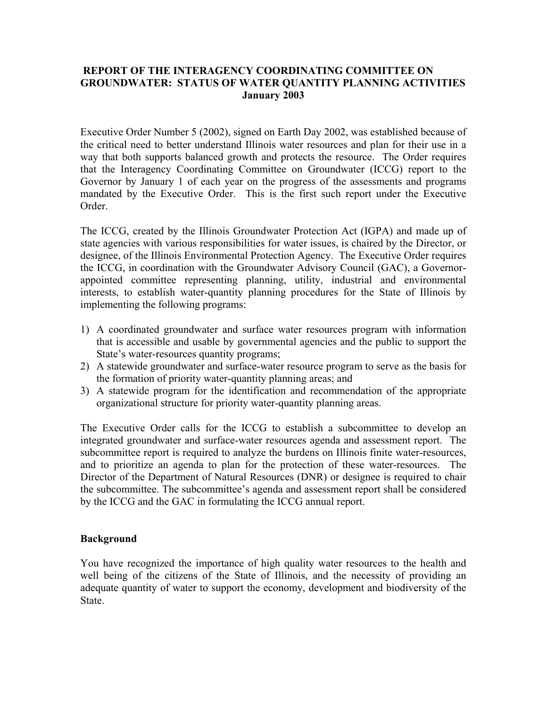#### **REPORT OF THE INTERAGENCY COORDINATING COMMITTEE ON GROUNDWATER: STATUS OF WATER QUANTITY PLANNING ACTIVITIES January 2003**

Executive Order Number 5 (2002), signed on Earth Day 2002, was established because of the critical need to better understand Illinois water resources and plan for their use in a way that both supports balanced growth and protects the resource. The Order requires that the Interagency Coordinating Committee on Groundwater (ICCG) report to the Governor by January 1 of each year on the progress of the assessments and programs mandated by the Executive Order. This is the first such report under the Executive Order.

The ICCG, created by the Illinois Groundwater Protection Act (IGPA) and made up of state agencies with various responsibilities for water issues, is chaired by the Director, or designee, of the Illinois Environmental Protection Agency. The Executive Order requires the ICCG, in coordination with the Groundwater Advisory Council (GAC), a Governorappointed committee representing planning, utility, industrial and environmental interests, to establish water-quantity planning procedures for the State of Illinois by implementing the following programs:

- 1) A coordinated groundwater and surface water resources program with information that is accessible and usable by governmental agencies and the public to support the State's water-resources quantity programs;
- 2) A statewide groundwater and surface-water resource program to serve as the basis for the formation of priority water-quantity planning areas; and
- 3) A statewide program for the identification and recommendation of the appropriate organizational structure for priority water-quantity planning areas.

The Executive Order calls for the ICCG to establish a subcommittee to develop an integrated groundwater and surface-water resources agenda and assessment report. The subcommittee report is required to analyze the burdens on Illinois finite water-resources, and to prioritize an agenda to plan for the protection of these water-resources. The Director of the Department of Natural Resources (DNR) or designee is required to chair the subcommittee. The subcommittee's agenda and assessment report shall be considered by the ICCG and the GAC in formulating the ICCG annual report.

### **Background**

You have recognized the importance of high quality water resources to the health and well being of the citizens of the State of Illinois, and the necessity of providing an adequate quantity of water to support the economy, development and biodiversity of the State.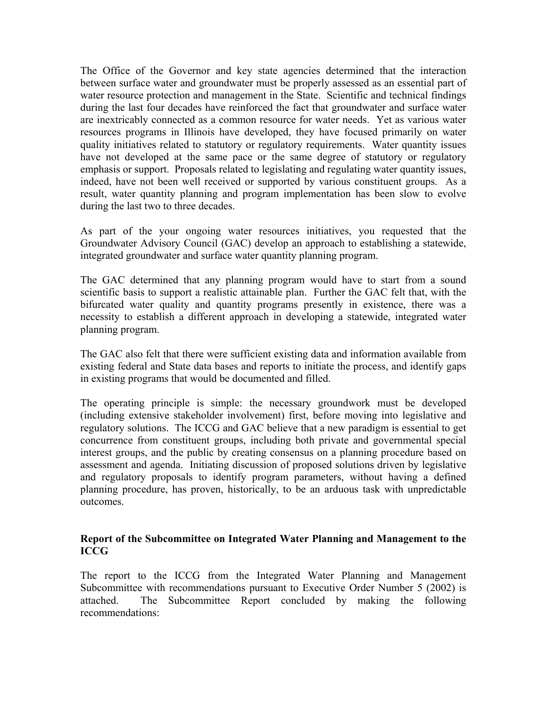The Office of the Governor and key state agencies determined that the interaction between surface water and groundwater must be properly assessed as an essential part of water resource protection and management in the State. Scientific and technical findings during the last four decades have reinforced the fact that groundwater and surface water are inextricably connected as a common resource for water needs. Yet as various water resources programs in Illinois have developed, they have focused primarily on water quality initiatives related to statutory or regulatory requirements. Water quantity issues have not developed at the same pace or the same degree of statutory or regulatory emphasis or support. Proposals related to legislating and regulating water quantity issues, indeed, have not been well received or supported by various constituent groups. As a result, water quantity planning and program implementation has been slow to evolve during the last two to three decades.

As part of the your ongoing water resources initiatives, you requested that the Groundwater Advisory Council (GAC) develop an approach to establishing a statewide, integrated groundwater and surface water quantity planning program.

The GAC determined that any planning program would have to start from a sound scientific basis to support a realistic attainable plan. Further the GAC felt that, with the bifurcated water quality and quantity programs presently in existence, there was a necessity to establish a different approach in developing a statewide, integrated water planning program.

The GAC also felt that there were sufficient existing data and information available from existing federal and State data bases and reports to initiate the process, and identify gaps in existing programs that would be documented and filled.

The operating principle is simple: the necessary groundwork must be developed (including extensive stakeholder involvement) first, before moving into legislative and regulatory solutions. The ICCG and GAC believe that a new paradigm is essential to get concurrence from constituent groups, including both private and governmental special interest groups, and the public by creating consensus on a planning procedure based on assessment and agenda. Initiating discussion of proposed solutions driven by legislative and regulatory proposals to identify program parameters, without having a defined planning procedure, has proven, historically, to be an arduous task with unpredictable outcomes.

#### **Report of the Subcommittee on Integrated Water Planning and Management to the ICCG**

The report to the ICCG from the Integrated Water Planning and Management Subcommittee with recommendations pursuant to Executive Order Number 5 (2002) is attached. The Subcommittee Report concluded by making the following recommendations: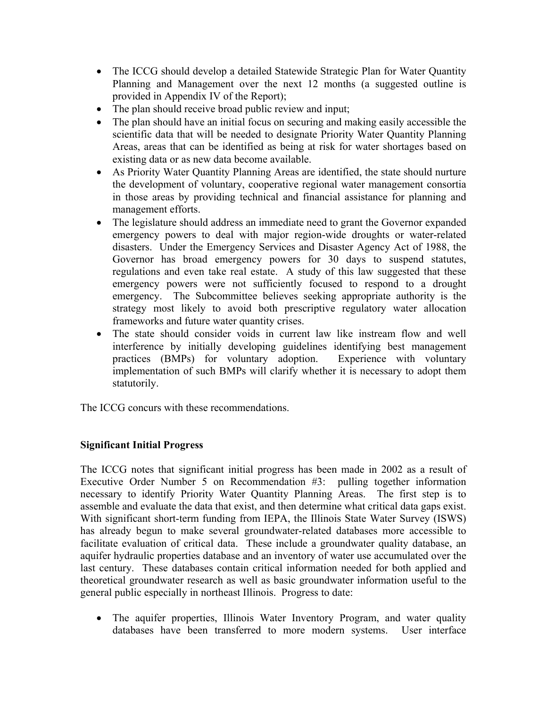- The ICCG should develop a detailed Statewide Strategic Plan for Water Quantity Planning and Management over the next 12 months (a suggested outline is provided in Appendix IV of the Report);
- The plan should receive broad public review and input;
- The plan should have an initial focus on securing and making easily accessible the scientific data that will be needed to designate Priority Water Quantity Planning Areas, areas that can be identified as being at risk for water shortages based on existing data or as new data become available.
- As Priority Water Quantity Planning Areas are identified, the state should nurture the development of voluntary, cooperative regional water management consortia in those areas by providing technical and financial assistance for planning and management efforts.
- The legislature should address an immediate need to grant the Governor expanded emergency powers to deal with major region-wide droughts or water-related disasters. Under the Emergency Services and Disaster Agency Act of 1988, the Governor has broad emergency powers for 30 days to suspend statutes, regulations and even take real estate. A study of this law suggested that these emergency powers were not sufficiently focused to respond to a drought emergency. The Subcommittee believes seeking appropriate authority is the strategy most likely to avoid both prescriptive regulatory water allocation frameworks and future water quantity crises.
- The state should consider voids in current law like instream flow and well interference by initially developing guidelines identifying best management practices (BMPs) for voluntary adoption. Experience with voluntary implementation of such BMPs will clarify whether it is necessary to adopt them statutorily.

The ICCG concurs with these recommendations.

# **Significant Initial Progress**

The ICCG notes that significant initial progress has been made in 2002 as a result of Executive Order Number 5 on Recommendation #3: pulling together information necessary to identify Priority Water Quantity Planning Areas. The first step is to assemble and evaluate the data that exist, and then determine what critical data gaps exist. With significant short-term funding from IEPA, the Illinois State Water Survey (ISWS) has already begun to make several groundwater-related databases more accessible to facilitate evaluation of critical data. These include a groundwater quality database, an aquifer hydraulic properties database and an inventory of water use accumulated over the last century. These databases contain critical information needed for both applied and theoretical groundwater research as well as basic groundwater information useful to the general public especially in northeast Illinois. Progress to date:

• The aquifer properties, Illinois Water Inventory Program, and water quality databases have been transferred to more modern systems. User interface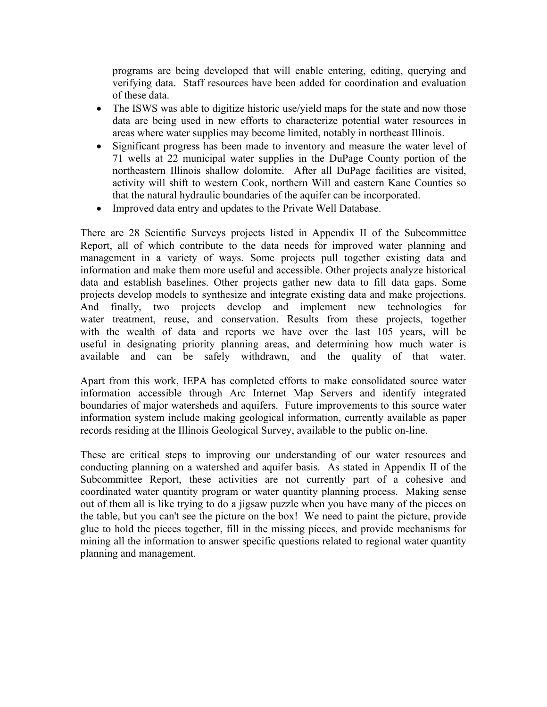programs are being developed that will enable entering, editing, querying and verifying data. Staff resources have been added for coordination and evaluation of these data.

- The ISWS was able to digitize historic use/yield maps for the state and now those data are being used in new efforts to characterize potential water resources in areas where water supplies may become limited, notably in northeast Illinois.
- Significant progress has been made to inventory and measure the water level of 71 wells at 22 municipal water supplies in the DuPage County portion of the northeastern Illinois shallow dolomite. After all DuPage facilities are visited, activity will shift to western Cook, northern Will and eastern Kane Counties so that the natural hydraulic boundaries of the aquifer can be incorporated.
- Improved data entry and updates to the Private Well Database.

There are 28 Scientific Surveys projects listed in Appendix II of the Subcommittee Report, all of which contribute to the data needs for improved water planning and management in a variety of ways. Some projects pull together existing data and information and make them more useful and accessible. Other projects analyze historical data and establish baselines. Other projects gather new data to fill data gaps. Some projects develop models to synthesize and integrate existing data and make projections. And finally, two projects develop and implement new technologies for water treatment, reuse, and conservation. Results from these projects, together with the wealth of data and reports we have over the last 105 years, will be useful in designating priority planning areas, and determining how much water is available and can be safely withdrawn, and the quality of that water.

Apart from this work, IEPA has completed efforts to make consolidated source water information accessible through Arc Internet Map Servers and identify integrated boundaries of major watersheds and aquifers. Future improvements to this source water information system include making geological information, currently available as paper records residing at the Illinois Geological Survey, available to the public on-line.

These are critical steps to improving our understanding of our water resources and conducting planning on a watershed and aquifer basis. As stated in Appendix II of the Subcommittee Report, these activities are not currently part of a cohesive and coordinated water quantity program or water quantity planning process. Making sense out of them all is like trying to do a jigsaw puzzle when you have many of the pieces on the table, but you can't see the picture on the box! We need to paint the picture, provide glue to hold the pieces together, fill in the missing pieces, and provide mechanisms for mining all the information to answer specific questions related to regional water quantity planning and management.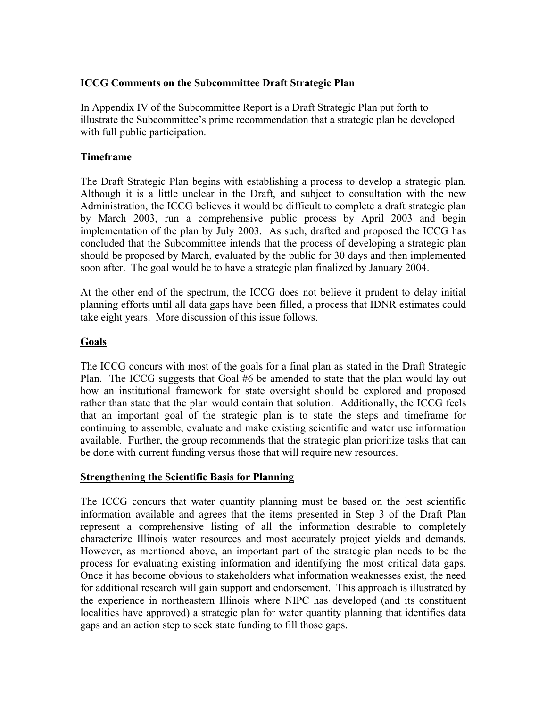### **ICCG Comments on the Subcommittee Draft Strategic Plan**

In Appendix IV of the Subcommittee Report is a Draft Strategic Plan put forth to illustrate the Subcommittee's prime recommendation that a strategic plan be developed with full public participation.

### **Timeframe**

The Draft Strategic Plan begins with establishing a process to develop a strategic plan. Although it is a little unclear in the Draft, and subject to consultation with the new Administration, the ICCG believes it would be difficult to complete a draft strategic plan by March 2003, run a comprehensive public process by April 2003 and begin implementation of the plan by July 2003. As such, drafted and proposed the ICCG has concluded that the Subcommittee intends that the process of developing a strategic plan should be proposed by March, evaluated by the public for 30 days and then implemented soon after. The goal would be to have a strategic plan finalized by January 2004.

At the other end of the spectrum, the ICCG does not believe it prudent to delay initial planning efforts until all data gaps have been filled, a process that IDNR estimates could take eight years. More discussion of this issue follows.

## **Goals**

The ICCG concurs with most of the goals for a final plan as stated in the Draft Strategic Plan. The ICCG suggests that Goal #6 be amended to state that the plan would lay out how an institutional framework for state oversight should be explored and proposed rather than state that the plan would contain that solution. Additionally, the ICCG feels that an important goal of the strategic plan is to state the steps and timeframe for continuing to assemble, evaluate and make existing scientific and water use information available. Further, the group recommends that the strategic plan prioritize tasks that can be done with current funding versus those that will require new resources.

### **Strengthening the Scientific Basis for Planning**

The ICCG concurs that water quantity planning must be based on the best scientific information available and agrees that the items presented in Step 3 of the Draft Plan represent a comprehensive listing of all the information desirable to completely characterize Illinois water resources and most accurately project yields and demands. However, as mentioned above, an important part of the strategic plan needs to be the process for evaluating existing information and identifying the most critical data gaps. Once it has become obvious to stakeholders what information weaknesses exist, the need for additional research will gain support and endorsement. This approach is illustrated by the experience in northeastern Illinois where NIPC has developed (and its constituent localities have approved) a strategic plan for water quantity planning that identifies data gaps and an action step to seek state funding to fill those gaps.